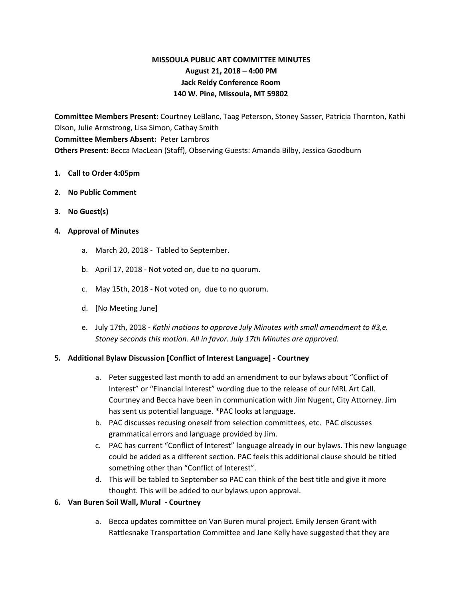# **MISSOULA PUBLIC ART COMMITTEE MINUTES August 21, 2018 – 4:00 PM Jack Reidy Conference Room 140 W. Pine, Missoula, MT 59802**

**Committee Members Present:** Courtney LeBlanc, Taag Peterson, Stoney Sasser, Patricia Thornton, Kathi Olson, Julie Armstrong, Lisa Simon, Cathay Smith **Committee Members Absent:** Peter Lambros **Others Present:** Becca MacLean (Staff), Observing Guests: Amanda Bilby, Jessica Goodburn

### **1. Call to Order 4:05pm**

- **2. No Public Comment**
- **3. No Guest(s)**

### **4. Approval of Minutes**

- a. March 20, 2018 Tabled to September.
- b. April 17, 2018 Not voted on, due to no quorum.
- c. May 15th, 2018 Not voted on, due to no quorum.
- d. [No Meeting June]
- e. July 17th, 2018 *Kathi motions to approve July Minutes with small amendment to #3,e. Stoney seconds this motion. All in favor. July 17th Minutes are approved.*

### **5. Additional Bylaw Discussion [Conflict of Interest Language] - Courtney**

- a. Peter suggested last month to add an amendment to our bylaws about "Conflict of Interest" or "Financial Interest" wording due to the release of our MRL Art Call. Courtney and Becca have been in communication with Jim Nugent, City Attorney. Jim has sent us potential language. \*PAC looks at language.
- b. PAC discusses recusing oneself from selection committees, etc. PAC discusses grammatical errors and language provided by Jim.
- c. PAC has current "Conflict of Interest" language already in our bylaws. This new language could be added as a different section. PAC feels this additional clause should be titled something other than "Conflict of Interest".
- d. This will be tabled to September so PAC can think of the best title and give it more thought. This will be added to our bylaws upon approval.

### **6. Van Buren Soil Wall, Mural - Courtney**

a. Becca updates committee on Van Buren mural project. Emily Jensen Grant with Rattlesnake Transportation Committee and Jane Kelly have suggested that they are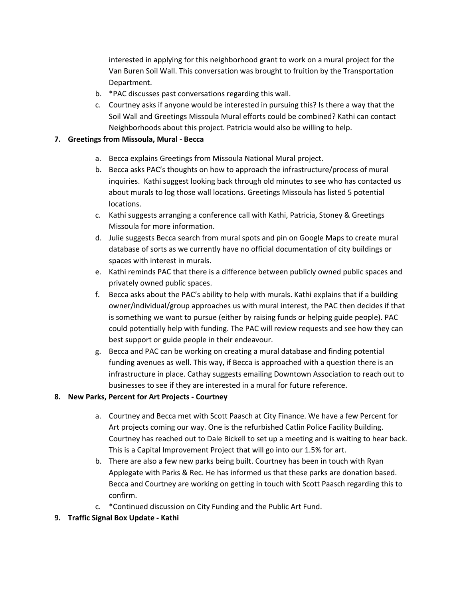interested in applying for this neighborhood grant to work on a mural project for the Van Buren Soil Wall. This conversation was brought to fruition by the Transportation Department.

- b. \*PAC discusses past conversations regarding this wall.
- c. Courtney asks if anyone would be interested in pursuing this? Is there a way that the Soil Wall and Greetings Missoula Mural efforts could be combined? Kathi can contact Neighborhoods about this project. Patricia would also be willing to help.

# **7. Greetings from Missoula, Mural - Becca**

- a. Becca explains Greetings from Missoula National Mural project.
- b. Becca asks PAC's thoughts on how to approach the infrastructure/process of mural inquiries. Kathi suggest looking back through old minutes to see who has contacted us about murals to log those wall locations. Greetings Missoula has listed 5 potential locations.
- c. Kathi suggests arranging a conference call with Kathi, Patricia, Stoney & Greetings Missoula for more information.
- d. Julie suggests Becca search from mural spots and pin on Google Maps to create mural database of sorts as we currently have no official documentation of city buildings or spaces with interest in murals.
- e. Kathi reminds PAC that there is a difference between publicly owned public spaces and privately owned public spaces.
- f. Becca asks about the PAC's ability to help with murals. Kathi explains that if a building owner/individual/group approaches us with mural interest, the PAC then decides if that is something we want to pursue (either by raising funds or helping guide people). PAC could potentially help with funding. The PAC will review requests and see how they can best support or guide people in their endeavour.
- g. Becca and PAC can be working on creating a mural database and finding potential funding avenues as well. This way, if Becca is approached with a question there is an infrastructure in place. Cathay suggests emailing Downtown Association to reach out to businesses to see if they are interested in a mural for future reference.

## **8. New Parks, Percent for Art Projects - Courtney**

- a. Courtney and Becca met with Scott Paasch at City Finance. We have a few Percent for Art projects coming our way. One is the refurbished Catlin Police Facility Building. Courtney has reached out to Dale Bickell to set up a meeting and is waiting to hear back. This is a Capital Improvement Project that will go into our 1.5% for art.
- b. There are also a few new parks being built. Courtney has been in touch with Ryan Applegate with Parks & Rec. He has informed us that these parks are donation based. Becca and Courtney are working on getting in touch with Scott Paasch regarding this to confirm.
- c. \*Continued discussion on City Funding and the Public Art Fund.
- **9. Traffic Signal Box Update - Kathi**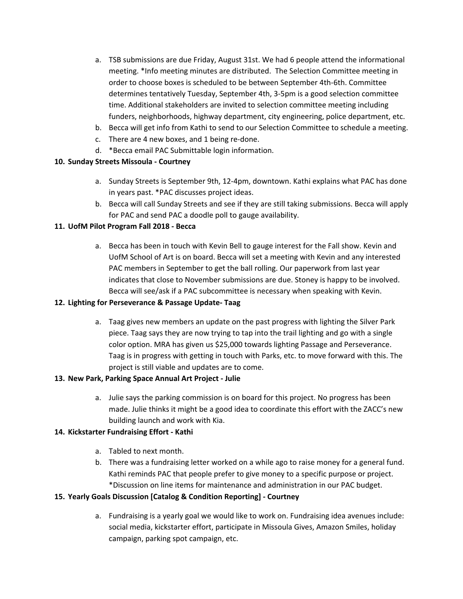- a. TSB submissions are due Friday, August 31st. We had 6 people attend the informational meeting. \*Info meeting minutes are distributed. The Selection Committee meeting in order to choose boxes is scheduled to be between September 4th-6th. Committee determines tentatively Tuesday, September 4th, 3-5pm is a good selection committee time. Additional stakeholders are invited to selection committee meeting including funders, neighborhoods, highway department, city engineering, police department, etc.
- b. Becca will get info from Kathi to send to our Selection Committee to schedule a meeting.
- c. There are 4 new boxes, and 1 being re-done.
- d. \*Becca email PAC Submittable login information.

### **10. Sunday Streets Missoula - Courtney**

- a. Sunday Streets is September 9th, 12-4pm, downtown. Kathi explains what PAC has done in years past. \*PAC discusses project ideas.
- b. Becca will call Sunday Streets and see if they are still taking submissions. Becca will apply for PAC and send PAC a doodle poll to gauge availability.

### **11. UofM Pilot Program Fall 2018 - Becca**

a. Becca has been in touch with Kevin Bell to gauge interest for the Fall show. Kevin and UofM School of Art is on board. Becca will set a meeting with Kevin and any interested PAC members in September to get the ball rolling. Our paperwork from last year indicates that close to November submissions are due. Stoney is happy to be involved. Becca will see/ask if a PAC subcommittee is necessary when speaking with Kevin.

### **12. Lighting for Perseverance & Passage Update- Taag**

a. Taag gives new members an update on the past progress with lighting the Silver Park piece. Taag says they are now trying to tap into the trail lighting and go with a single color option. MRA has given us \$25,000 towards lighting Passage and Perseverance. Taag is in progress with getting in touch with Parks, etc. to move forward with this. The project is still viable and updates are to come.

### **13. New Park, Parking Space Annual Art Project - Julie**

a. Julie says the parking commission is on board for this project. No progress has been made. Julie thinks it might be a good idea to coordinate this effort with the ZACC's new building launch and work with Kia.

### **14. Kickstarter Fundraising Effort - Kathi**

- a. Tabled to next month.
- b. There was a fundraising letter worked on a while ago to raise money for a general fund. Kathi reminds PAC that people prefer to give money to a specific purpose or project. \*Discussion on line items for maintenance and administration in our PAC budget.

### **15. Yearly Goals Discussion [Catalog & Condition Reporting] - Courtney**

a. Fundraising is a yearly goal we would like to work on. Fundraising idea avenues include: social media, kickstarter effort, participate in Missoula Gives, Amazon Smiles, holiday campaign, parking spot campaign, etc.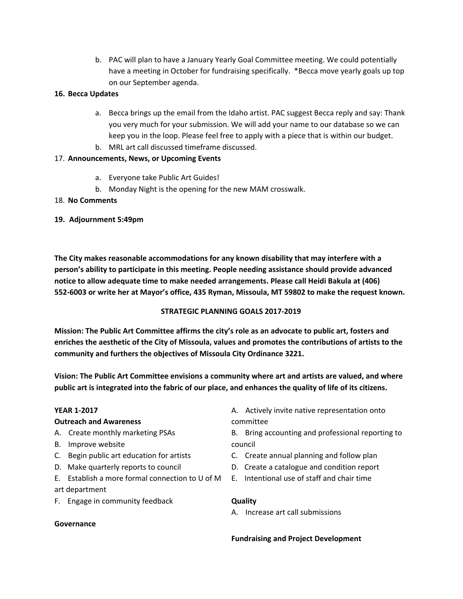b. PAC will plan to have a January Yearly Goal Committee meeting. We could potentially have a meeting in October for fundraising specifically. \*Becca move yearly goals up top on our September agenda.

### **16. Becca Updates**

- a. Becca brings up the email from the Idaho artist. PAC suggest Becca reply and say: Thank you very much for your submission. We will add your name to our database so we can keep you in the loop. Please feel free to apply with a piece that is within our budget.
- b. MRL art call discussed timeframe discussed.

## 17. **Announcements, News, or Upcoming Events**

- a. Everyone take Public Art Guides!
- b. Monday Night is the opening for the new MAM crosswalk.

## 18. **No Comments**

## **19. Adjournment 5:49pm**

**The City makes reasonable accommodations for any known disability that may interfere with a person's ability to participate in this meeting. People needing assistance should provide advanced notice to allow adequate time to make needed arrangements. Please call Heidi Bakula at (406) 552-6003 or write her at Mayor's office, 435 Ryman, Missoula, MT 59802 to make the request known.**

## **STRATEGIC PLANNING GOALS 2017-2019**

**Mission: The Public Art Committee affirms the city's role as an advocate to public art, fosters and enriches the aesthetic of the City of Missoula, values and promotes the contributions of artists to the community and furthers the objectives of Missoula City Ordinance 3221.**

**Vision: The Public Art Committee envisions a community where art and artists are valued, and where** public art is integrated into the fabric of our place, and enhances the quality of life of its citizens.

### **YEAR 1-2017**

## **Outreach and Awareness**

- A. Create monthly marketing PSAs
- B. Improve website
- C. Begin public art education for artists
- D. Make quarterly reports to council
- E. Establish a more formal connection to U of M art department
- F. Engage in community feedback

### **Governance**

- A. Actively invite native representation onto committee
- B. Bring accounting and professional reporting to council
- C. Create annual planning and follow plan
- D. Create a catalogue and condition report
- E. Intentional use of staff and chair time

### **Quality**

A. Increase art call submissions

### **Fundraising and Project Development**